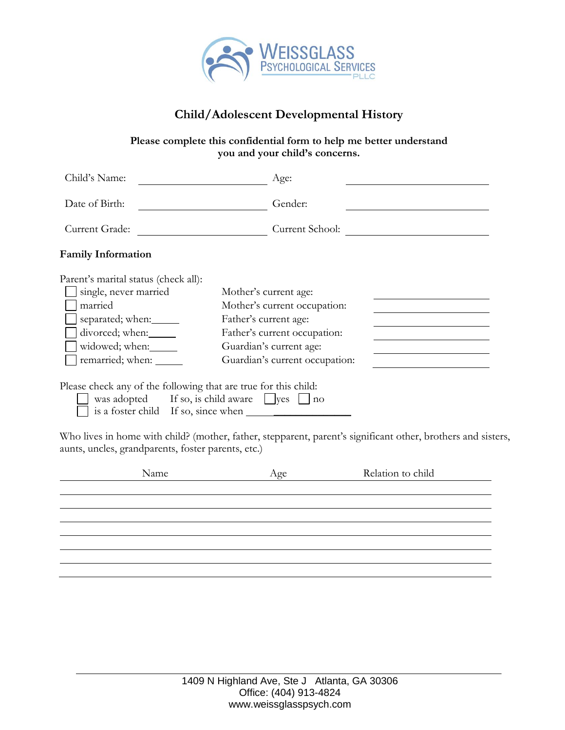

# **Child/Adolescent Developmental History**

### **Please complete this confidential form to help me better understand you and your child's concerns.**

| Child's Name:                                                                                                                                                | Age:                                                                                                                                                                        |  |
|--------------------------------------------------------------------------------------------------------------------------------------------------------------|-----------------------------------------------------------------------------------------------------------------------------------------------------------------------------|--|
| Date of Birth:                                                                                                                                               | Gender:                                                                                                                                                                     |  |
| Current Grade:                                                                                                                                               | Current School:                                                                                                                                                             |  |
| <b>Family Information</b>                                                                                                                                    |                                                                                                                                                                             |  |
| Parent's marital status (check all):<br>single, never married<br>married<br>separated; when:<br>divorced; when:<br>widowed; when:<br>remarried; when: ______ | Mother's current age:<br>Mother's current occupation:<br>Father's current age:<br>Father's current occupation:<br>Guardian's current age:<br>Guardian's current occupation: |  |
| Please check any of the following that are true for this child:                                                                                              | was adopted If so, is child aware $\Box$ yes $\Box$ no<br>Who lives in home with child? (mother, father, stepparent, parent's significant other, brothers and sis           |  |

Who lives in home with child? (mother, father, stepparent, parent's significant other, brothers and sisters, aunts, uncles, grandparents, foster parents, etc.)

| Name | Age | Relation to child |  |
|------|-----|-------------------|--|
|      |     |                   |  |
|      |     |                   |  |
|      |     |                   |  |
|      |     |                   |  |
|      |     |                   |  |
|      |     |                   |  |
|      |     |                   |  |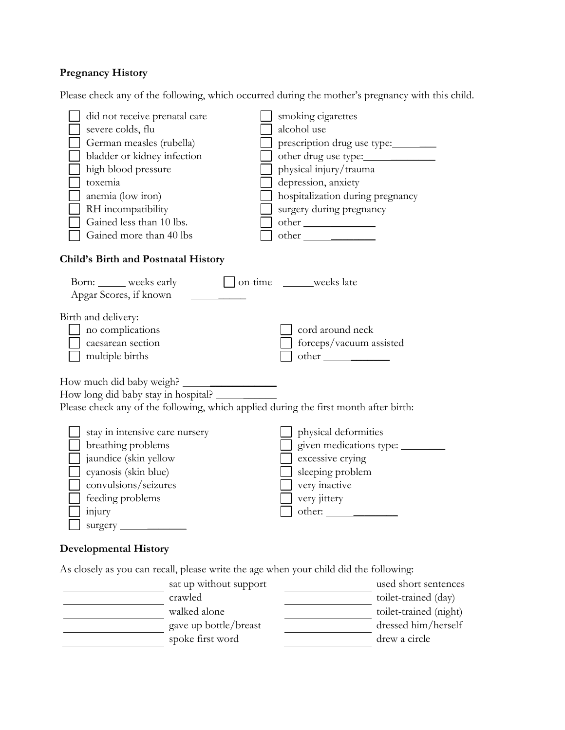## **Pregnancy History**

Please check any of the following, which occurred during the mother's pregnancy with this child.

| did not receive prenatal care<br>severe colds, flu<br>German measles (rubella)<br>bladder or kidney infection<br>high blood pressure<br>toxemia<br>anemia (low iron)<br>RH incompatibility<br>Gained less than 10 lbs.<br>Gained more than 40 lbs | smoking cigarettes<br>alcohol use<br>prescription drug use type:<br>other drug use type:<br>physical injury/trauma<br>depression, anxiety<br>hospitalization during pregnancy<br>surgery during pregnancy |
|---------------------------------------------------------------------------------------------------------------------------------------------------------------------------------------------------------------------------------------------------|-----------------------------------------------------------------------------------------------------------------------------------------------------------------------------------------------------------|
| Child's Birth and Postnatal History                                                                                                                                                                                                               |                                                                                                                                                                                                           |
| Born: weeks early<br>Apgar Scores, if known                                                                                                                                                                                                       | on-time ______weeks late                                                                                                                                                                                  |
| Birth and delivery:<br>no complications<br>caesarean section<br>multiple births                                                                                                                                                                   | cord around neck<br>forceps/vacuum assisted                                                                                                                                                               |
| How much did baby weigh?<br>How long did baby stay in hospital?<br>Please check any of the following, which applied during the first month after birth:                                                                                           |                                                                                                                                                                                                           |
| stay in intensive care nursery<br>breathing problems<br>jaundice (skin yellow<br>cyanosis (skin blue)<br>convulsions/seizures<br>feeding problems<br>injury<br>surgery                                                                            | physical deformities<br>given medications type: _____<br>excessive crying<br>sleeping problem<br>very inactive<br>very jittery                                                                            |

### **Developmental History**

As closely as you can recall, please write the age when your child did the following:

| sat up without support | used short sentences   |
|------------------------|------------------------|
| crawled                | toilet-trained (day)   |
| walked alone           | toilet-trained (night) |
| gave up bottle/breast  | dressed him/herself    |
| spoke first word       | drew a circle          |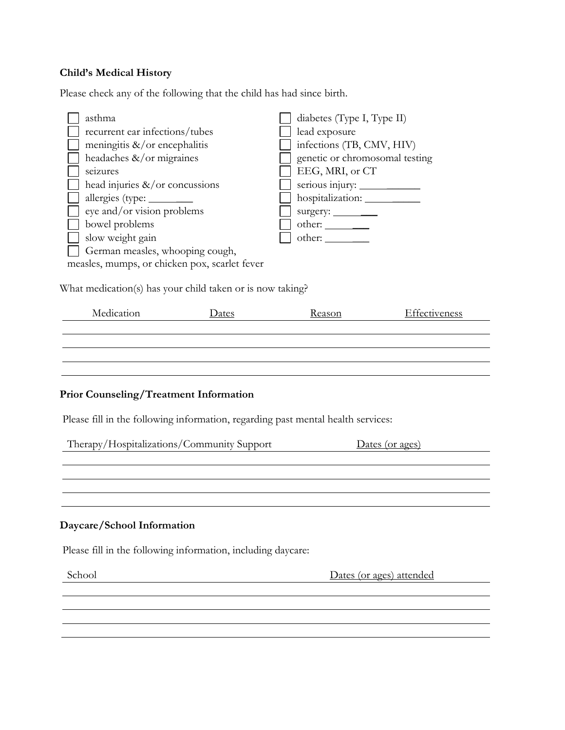## **Child's Medical History**

Please check any of the following that the child has had since birth.

| asthma                                        | diabetes (Type I, Type II)     |
|-----------------------------------------------|--------------------------------|
| recurrent ear infections/tubes                | lead exposure                  |
| meningitis $\&\/$ or encephalitis             | infections (TB, CMV, HIV)      |
| headaches $\&\/$ or migraines                 | genetic or chromosomal testing |
| seizures                                      | EEG, MRI, or CT                |
| head injuries $\&\/$ or concussions           | serious injury:                |
|                                               |                                |
| eye and/or vision problems                    |                                |
| bowel problems                                |                                |
| slow weight gain                              |                                |
| German measles, whooping cough,               |                                |
| measles, mumps, or chicken pox, scarlet fever |                                |
|                                               |                                |

What medication(s) has your child taken or is now taking?

| Medication | Dates | Reason | Effectiveness |
|------------|-------|--------|---------------|
|            |       |        |               |
|            |       |        |               |
|            |       |        |               |
|            |       |        |               |

## **Prior Counseling/Treatment Information**

Please fill in the following information, regarding past mental health services:

| Therapy/Hospitalizations/Community Support                   | Dates (or ages)          |
|--------------------------------------------------------------|--------------------------|
|                                                              |                          |
|                                                              |                          |
|                                                              |                          |
|                                                              |                          |
| Daycare/School Information                                   |                          |
| Please fill in the following information, including daycare: |                          |
| School                                                       | Dates (or ages) attended |
|                                                              |                          |
|                                                              |                          |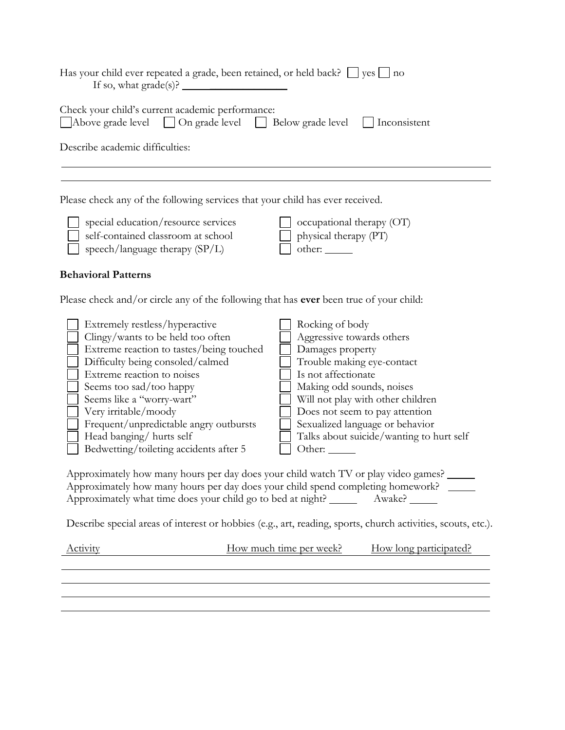|                                                                                                                                                                                                                                                                                                                                                                                   | Has your child ever repeated a grade, been retained, or held back? $\Box$ yes $\Box$ no                                                                                                                                                                                                                                   |
|-----------------------------------------------------------------------------------------------------------------------------------------------------------------------------------------------------------------------------------------------------------------------------------------------------------------------------------------------------------------------------------|---------------------------------------------------------------------------------------------------------------------------------------------------------------------------------------------------------------------------------------------------------------------------------------------------------------------------|
| Check your child's current academic performance:<br>Above grade level                                                                                                                                                                                                                                                                                                             | On grade level   Below grade level<br>  $ $ Inconsistent                                                                                                                                                                                                                                                                  |
| Describe academic difficulties:                                                                                                                                                                                                                                                                                                                                                   |                                                                                                                                                                                                                                                                                                                           |
|                                                                                                                                                                                                                                                                                                                                                                                   | Please check any of the following services that your child has ever received.                                                                                                                                                                                                                                             |
| special education/resource services<br>self-contained classroom at school<br>speech/language therapy (SP/L)                                                                                                                                                                                                                                                                       | occupational therapy (OT)<br>physical therapy (PT)<br>other:                                                                                                                                                                                                                                                              |
| <b>Behavioral Patterns</b>                                                                                                                                                                                                                                                                                                                                                        |                                                                                                                                                                                                                                                                                                                           |
|                                                                                                                                                                                                                                                                                                                                                                                   | Please check and/or circle any of the following that has ever been true of your child:                                                                                                                                                                                                                                    |
| Extremely restless/hyperactive<br>Clingy/wants to be held too often<br>Extreme reaction to tastes/being touched<br>Difficulty being consoled/calmed<br>Extreme reaction to noises<br>Seems too sad/too happy<br>Seems like a "worry-wart"<br>Very irritable/moody<br>Frequent/unpredictable angry outbursts<br>Head banging/ hurts self<br>Bedwetting/toileting accidents after 5 | Rocking of body<br>Aggressive towards others<br>Damages property<br>Trouble making eye-contact<br>Is not affectionate<br>Making odd sounds, noises<br>Will not play with other children<br>Does not seem to pay attention<br>Sexualized language or behavior<br>Talks about suicide/wanting to hurt self<br>Other: $\_\_$ |
|                                                                                                                                                                                                                                                                                                                                                                                   | Approximately how many hours per day does your child watch TV or play video games?<br>Approximately how many hours per day does your child spend completing homework?<br>Approximately what time does your child go to bed at night? __________ Awake? _______                                                            |
|                                                                                                                                                                                                                                                                                                                                                                                   | Describe special areas of interest or hobbies (e.g., art, reading, sports, church activities, scouts, etc.).                                                                                                                                                                                                              |
| <b>Activity</b>                                                                                                                                                                                                                                                                                                                                                                   | How much time per week?<br>How long participated?                                                                                                                                                                                                                                                                         |
|                                                                                                                                                                                                                                                                                                                                                                                   |                                                                                                                                                                                                                                                                                                                           |
|                                                                                                                                                                                                                                                                                                                                                                                   |                                                                                                                                                                                                                                                                                                                           |